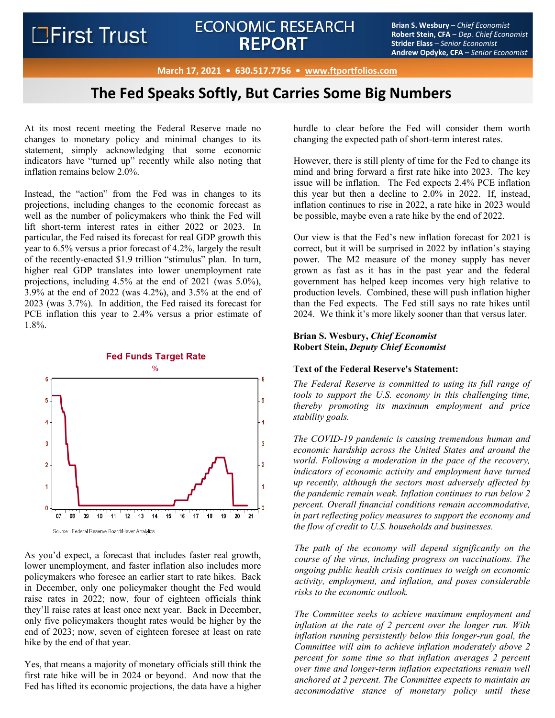# ECONOMIC RESEARCH<br> **BEDODT** Brian S. Wesbury – *Chief Economist*<br>
Strider Ease – Serior Economist **REPORT**

**Robert Stein, CFA** – *Dep. Chief Economist* **Strider Elass** – *Senior Economist* **Andrew Opdyke, CFA –** *Senior Economist*

**March 17, 2021 • 630.517.7756 • www.ftportfolios.com**

## **The Fed Speaks Softly, But Carries Some Big Numbers**

At its most recent meeting the Federal Reserve made no changes to monetary policy and minimal changes to its statement, simply acknowledging that some economic indicators have "turned up" recently while also noting that inflation remains below 2.0%.

Instead, the "action" from the Fed was in changes to its projections, including changes to the economic forecast as well as the number of policymakers who think the Fed will lift short-term interest rates in either 2022 or 2023. In particular, the Fed raised its forecast for real GDP growth this year to 6.5% versus a prior forecast of 4.2%, largely the result of the recently-enacted \$1.9 trillion "stimulus" plan. In turn, higher real GDP translates into lower unemployment rate projections, including 4.5% at the end of 2021 (was 5.0%), 3.9% at the end of 2022 (was 4.2%), and 3.5% at the end of 2023 (was 3.7%). In addition, the Fed raised its forecast for PCE inflation this year to 2.4% versus a prior estimate of 1.8%.



As you'd expect, a forecast that includes faster real growth, lower unemployment, and faster inflation also includes more policymakers who foresee an earlier start to rate hikes. Back in December, only one policymaker thought the Fed would raise rates in 2022; now, four of eighteen officials think they'll raise rates at least once next year. Back in December, only five policymakers thought rates would be higher by the end of 2023; now, seven of eighteen foresee at least on rate hike by the end of that year.

Yes, that means a majority of monetary officials still think the first rate hike will be in 2024 or beyond. And now that the Fed has lifted its economic projections, the data have a higher hurdle to clear before the Fed will consider them worth changing the expected path of short-term interest rates.

However, there is still plenty of time for the Fed to change its mind and bring forward a first rate hike into 2023. The key issue will be inflation. The Fed expects 2.4% PCE inflation this year but then a decline to 2.0% in 2022. If, instead, inflation continues to rise in 2022, a rate hike in 2023 would be possible, maybe even a rate hike by the end of 2022.

Our view is that the Fed's new inflation forecast for 2021 is correct, but it will be surprised in 2022 by inflation's staying power. The M2 measure of the money supply has never grown as fast as it has in the past year and the federal government has helped keep incomes very high relative to production levels. Combined, these will push inflation higher than the Fed expects. The Fed still says no rate hikes until 2024. We think it's more likely sooner than that versus later.

## **Brian S. Wesbury,** *Chief Economist* **Robert Stein,** *Deputy Chief Economist*

### **Text of the Federal Reserve's Statement:**

*The Federal Reserve is committed to using its full range of tools to support the U.S. economy in this challenging time, thereby promoting its maximum employment and price stability goals.* 

*The COVID-19 pandemic is causing tremendous human and economic hardship across the United States and around the world. Following a moderation in the pace of the recovery, indicators of economic activity and employment have turned up recently, although the sectors most adversely affected by the pandemic remain weak. Inflation continues to run below 2 percent. Overall financial conditions remain accommodative, in part reflecting policy measures to support the economy and the flow of credit to U.S. households and businesses.* 

*The path of the economy will depend significantly on the course of the virus, including progress on vaccinations. The ongoing public health crisis continues to weigh on economic activity, employment, and inflation, and poses considerable risks to the economic outlook.* 

*The Committee seeks to achieve maximum employment and inflation at the rate of 2 percent over the longer run. With inflation running persistently below this longer-run goal, the Committee will aim to achieve inflation moderately above 2 percent for some time so that inflation averages 2 percent over time and longer‑term inflation expectations remain well anchored at 2 percent. The Committee expects to maintain an accommodative stance of monetary policy until these*